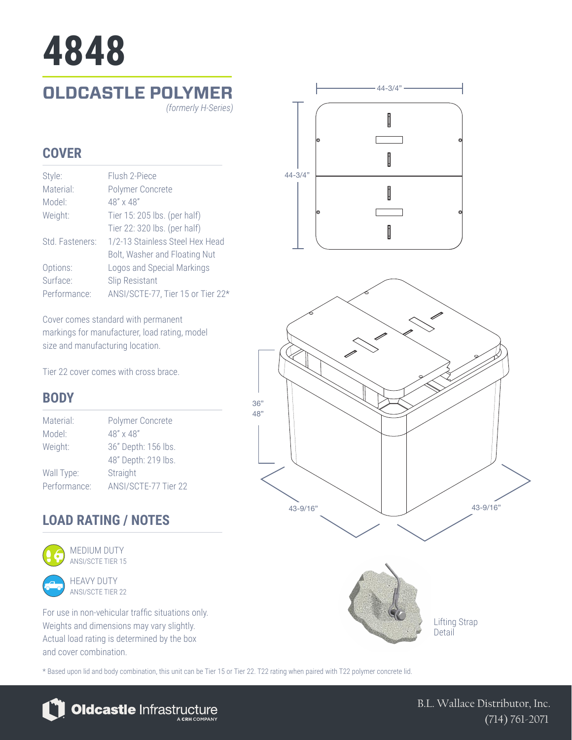# **4848**

# **OLDCASTLE POLYMER**

*(formerly H-Series)*

## **COVER**

| Style:          | Flush 2-Piece                     |
|-----------------|-----------------------------------|
| Material:       | Polymer Concrete                  |
| Model:          | 48" x 48"                         |
| Weight:         | Tier 15: 205 lbs. (per half)      |
|                 | Tier 22: 320 lbs. (per half)      |
| Std. Fasteners: | 1/2-13 Stainless Steel Hex Head   |
|                 | Bolt, Washer and Floating Nut     |
| Options:        | Logos and Special Markings        |
| Surface:        | <b>Slip Resistant</b>             |
| Performance:    | ANSI/SCTE-77, Tier 15 or Tier 22* |

Cover comes standard with permanent markings for manufacturer, load rating, model size and manufacturing location.

Tier 22 cover comes with cross brace.

### **BODY**

| Polymer Concrete     |
|----------------------|
| 48" x 48"            |
| 36" Depth: 156 lbs.  |
| 48" Depth: 219 lbs.  |
| Straight             |
| ANSI/SCTE-77 Tier 22 |
|                      |

# **LOAD RATING / NOTES**



HEAVY DUTY ANSI/SCTE TIER 22

For use in non-vehicular traffic situations only. Weights and dimensions may vary slightly. Actual load rating is determined by the box and cover combination.

\* Based upon lid and body combination, this unit can be Tier 15 or Tier 22. T22 rating when paired with T22 polymer concrete lid.



B.L. Wallace Distributor, Inc. (714) 761-2071